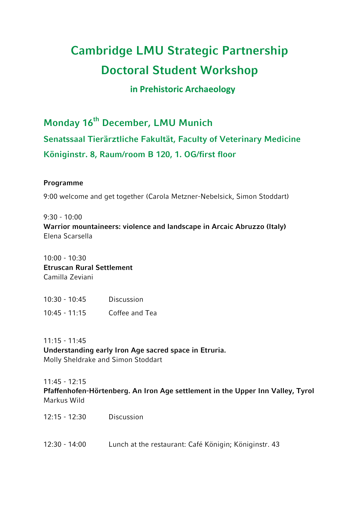# **Cambridge LMU Strategic Partnership Doctoral Student Workshop**

# **in Prehistoric Archaeology**

**Monday 16th December, LMU Munich Senatssaal Tierärztliche Fakultät, Faculty of Veterinary Medicine Königinstr. 8, Raum/room B 120, 1. OG/first floor**

## **Programme**

9:00 welcome and get together (Carola Metzner-Nebelsick, Simon Stoddart)

 $9:30 - 10:00$ 

**Warrior mountaineers: violence and landscape in Arcaic Abruzzo (Italy)** Elena Scarsella

10:00 - 10:30 **Etruscan Rural Settlement** Camilla Zeviani

10:30 - 10:45 Discussion 10:45 - 11:15 Coffee and Tea

11:15 - 11:45 **Understanding early Iron Age sacred space in Etruria.** Molly Sheldrake and Simon Stoddart

### 11:45 - 12:15

**Pfaffenhofen-Hörtenberg. An Iron Age settlement in the Upper Inn Valley, Tyrol** Markus Wild

- 12:15 12:30 Discussion
- 12:30 14:00 Lunch at the restaurant: Café Königin; Königinstr. 43